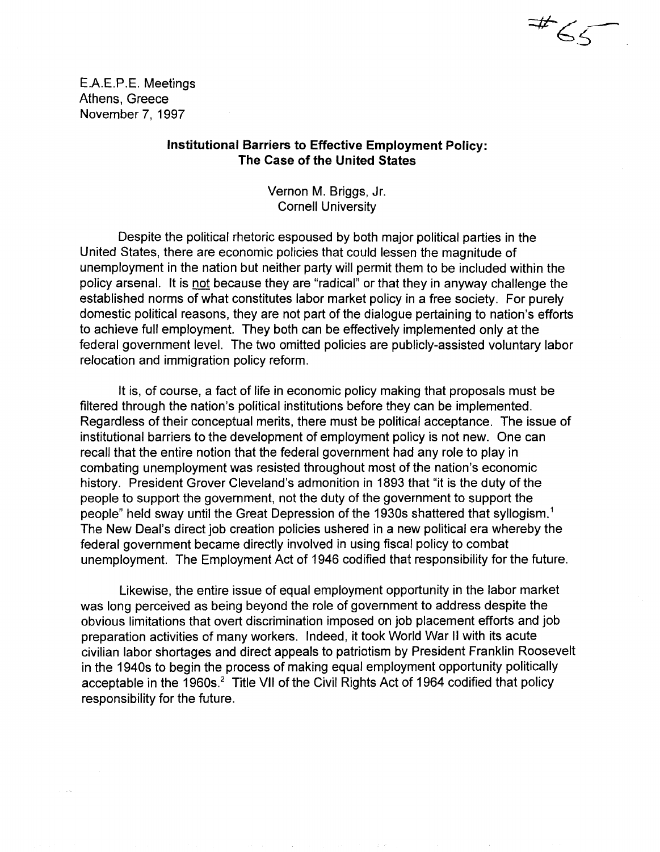E.A.E.P.E. Meetings Athens, Greece November 7, 1997

# Institutional Barriers to Effective Employment Policy: The Case of the United States

 $\Rightarrow$ 

 $65-$ 

Vernon M. Briggs, Jr. Cornell University

Despite the political rhetoric espoused by both major political parties in the United States, there are economic policies that could lessen the magnitude of unemployment in the nation but neither party will permit them to be included within the policy arsenal. It is not because they are "radical" or that they in anyway challenge the established norms of what constitutes labor market policy in a free society. For purely domestic political reasons, they are not part of the dialogue pertaining to nation's efforts to achieve full employment. They both can be effectively implemented only at the federal government level. The two omitted policies are publicly-assisted voluntary labor relocation and immigration policy reform.

It is, of course, a fact of life in economic policy making that proposals must be filtered through the nation's political institutions before they can be implemented. Regardless of their conceptual merits, there must be political acceptance. The issue of institutional barriers to the development of employment policy is not new. One can recall that the entire notion that the federal government had any role to play in combating unemployment was resisted throughout most of the nation's economic history. President Grover Cleveland's admonition in 1893 that "it is the duty of the people to support the government, not the duty of the government to support the people" held sway until the Great Depression of the 1930s shattered that syllogism.1 The New Deal's direct job creation policies ushered in a new political era whereby the federal government became directly involved in using fiscal policy to combat unemployment. The Employment Act of 1946 codified that responsibility for the future.

Likewise, the entire issue of equal employment opportunity in the labor market was long perceived as being beyond the role of government to address despite the obvious limitations that overt discrimination imposed on job placement efforts and job preparation activities of many workers. Indeed, it took World War II with its acute civilian labor shortages and direct appeals to patriotism by President Franklin Roosevelt in the 1940s to begin the process of making equal employment opportunity politically acceptable in the 1960s.<sup>2</sup> Title VII of the Civil Rights Act of 1964 codified that policy responsibility for the future.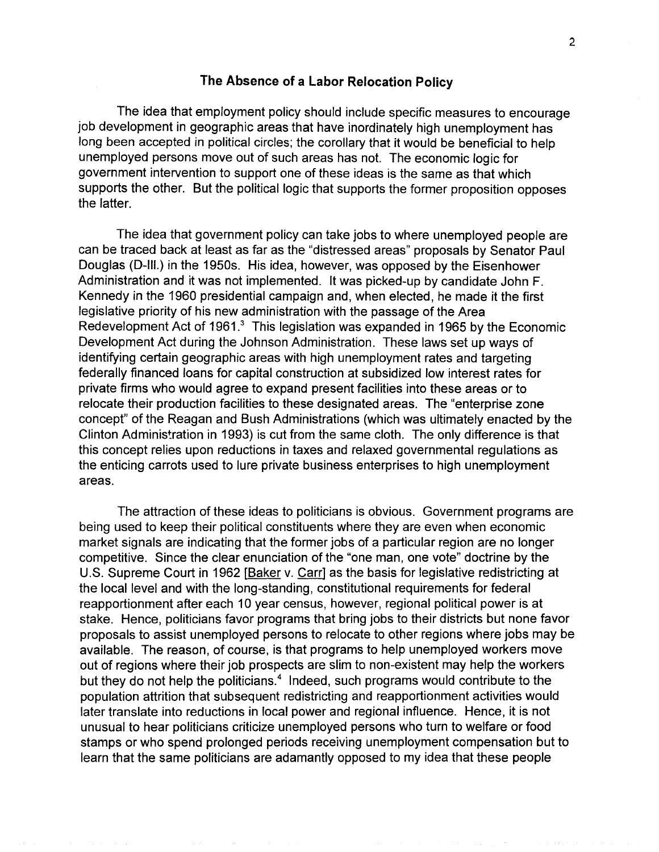# **The Absence of a labor Relocation Policy**

The idea that employment policy should include specific measures to encourage job development in geographic areas that have inordinately high unemployment has long been accepted in political circles; the corollary that it would be beneficial to help unemployed persons move out of such areas has not. The economic logic for government intervention to support one of these ideas is the same as that which supports the other. But the political logic that supports the former proposition opposes the latter.

The idea that government policy can take jobs to where unemployed people are can be traced back at least as far as the "distressed areas" proposals by Senator Paul Douglas (D-III.) in the 1950s. His idea, however, was opposed by the Eisenhower Administration and it was not implemented. It was picked-up by candidate John F. Kennedy in the 1960 presidential campaign and, when elected, he made it the first legislative priority of his new administration with the passage of the Area Redevelopment Act of 1961.<sup>3</sup> This legislation was expanded in 1965 by the Economic Development Act during the Johnson Administration. These laws set up ways of identifying certain geographic areas with high unemployment rates and targeting federally financed loans for capital construction at subsidized low interest rates for private firms who would agree to expand present facilities into these areas or to relocate their production facilities to these designated areas. The "enterprise zone concept" of the Reagan and Bush Administrations (which was ultimately enacted by the Clinton Administration in 1993) is cut from the same cloth. The only difference is that this concept relies upon reductions in taxes and relaxed governmental regulations as the enticing carrots used to lure private business enterprises to high unemployment areas.

The attraction of these ideas to politicians is obvious. Government programs are being used to keep their political constituents where they are even when economic market signals are indicating that the former jobs of a particular region are no longer competitive. Since the clear enunciation of the "one man, one vote" doctrine by the U.S. Supreme Court in 1962 [Baker v. Carr] as the basis for legislative redistricting at the local level and with the long-standing, constitutional requirements for federal reapportionment after each 10 year census, however, regional political power is at stake. Hence, politicians favor programs that bring jobs to their districts but none favor proposals to assist unemployed persons to relocate to other regions where jobs may be available. The reason, of course, is that programs to help unemployed workers move out of regions where their job prospects are slim to non-existent may help the workers but they do not help the politicians.<sup>4</sup> Indeed, such programs would contribute to the population attrition that subsequent redistricting and reapportionment activities would later translate into reductions in local power and regional influence. Hence, it is not unusual to hear politicians criticize unemployed persons who turn to welfare or food stamps or who spend prolonged periods receiving unemployment compensation but to learn that the same politicians are adamantly opposed to my idea that these people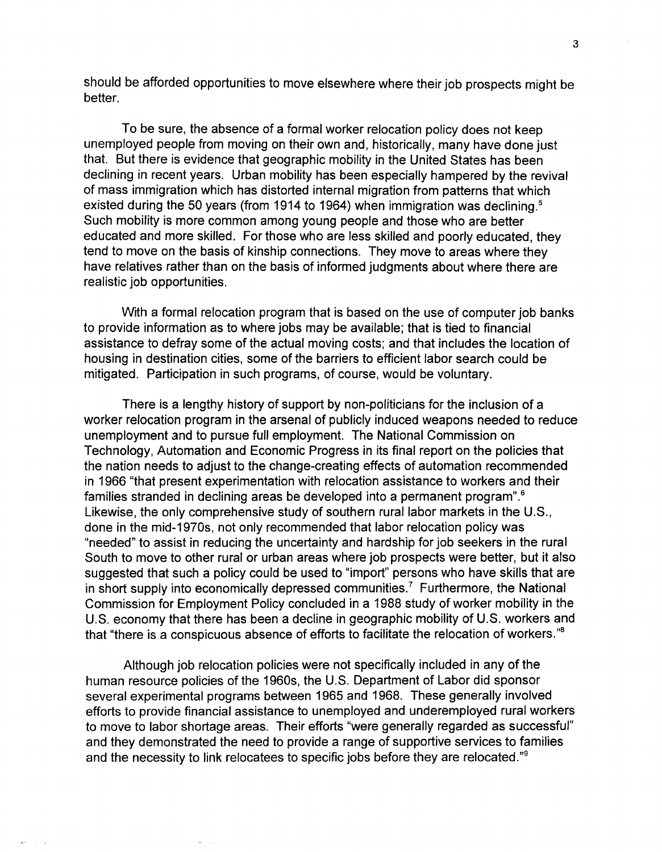should be afforded opportunities to move elsewhere where their job prospects might be better.

To be sure, the absence of a formal worker relocation policy does not keep unemployed people from moving on their own and, historically, many have done just that. But there is evidence that geographic mobility in the United States has been declining in recent years. Urban mobility has been especially hampered by the revival of mass immigration which has distorted internal migration from patterns that which existed during the 50 years (from 1914 to 1964) when immigration was declining.<sup>5</sup> Such mobility is more common among young people and those who are better educated and more skilled. For those who are less skilled and poorly educated, they tend to move on the basis of kinship connections. They move to areas where they have relatives rather than on the basis of informed judgments about where there are realistic job opportunities.

With a formal relocation program that is based on the use of computer job banks to provide information as to where jobs may be available; that is tied to financial assistance to defray some of the actual moving costs; and that includes the location of housing in destination cities, some of the barriers to efficient labor search could be mitigated. Participation in such programs, of course, would be voluntary.

There is a lengthy history of support by non-politicians for the inclusion of a worker relocation program in the arsenal of publicly induced weapons needed to reduce unemployment and to pursue full employment. The National Commission on Technology, Automation and Economic Progress in its final report on the policies that the nation needs to adjust to the change-creating effects of automation recommended in 1966 "that present experimentation with relocation assistance to workers and their families stranded in declining areas be developed into a permanent program".6 Likewise, the only comprehensive study of southern rural labor markets in the U.S., done in the mid-1970s, not only recommended that labor relocation policy was "needed" to assist in reducing the uncertainty and hardship for job seekers in the rural South to move to other rural or urban areas where job prospects were better, but it also suggested that such a policy could be used to "import" persons who have skills that are in short supply into economically depressed communities.<sup>7</sup> Furthermore, the National Commission for Employment Policy concluded in a 1988 study of worker mobility in the U.S. economy that there has been a decline in geographic mobility of U.S. workers and that "there is a conspicuous absence of efforts to facilitate the relocation of workers."s

Although job relocation policies were not specifically included in any of the human resource policies of the 1960s, the U.S. Department of Labor did sponsor several experimental programs between 1965 and 1968. These generally involved efforts to provide financial assistance to unemployed and underemployed rural workers to move to labor shortage areas. Their efforts "were generally regarded as successful" and they demonstrated the need to provide a range of supportive services to families and the necessity to link relocatees to specific jobs before they are relocated."9

 $\sim$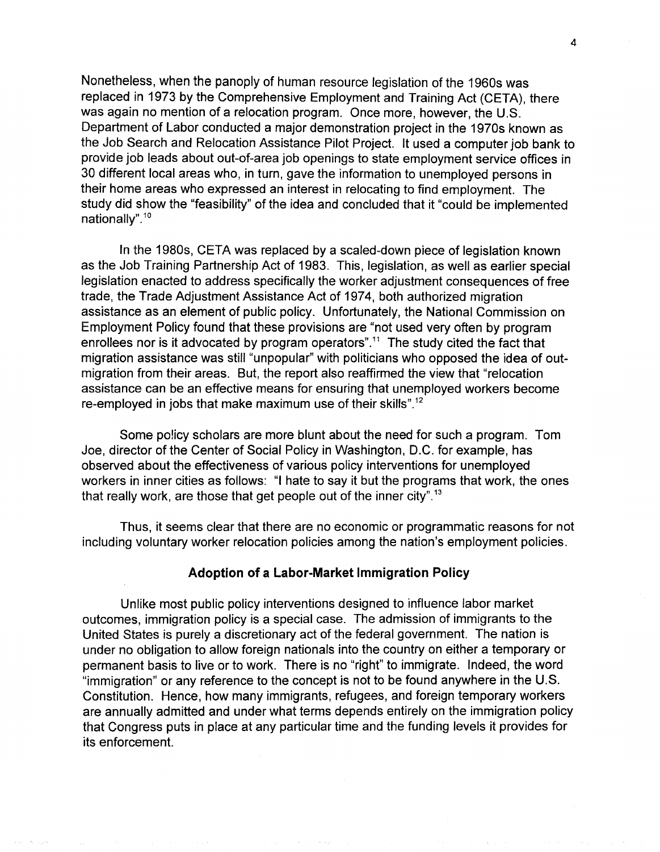Nonetheless, when the panoply of human resource legislation of the 1960s was replaced in 1973 by the Comprehensive Employment and Training Act (CETA), there was again no mention of a relocation program. Once more, however, the U.S. Department of Labor conducted a major demonstration project in the 1970s known as the Job Search and Relocation Assistance Pilot Project. It used a computer job bank to provide job leads about out-of-area job openings to state employment service offices in 30 different local areas who, in turn, gave the information to unemployed persons in their home areas who expressed an interest in relocating to find employment. The study did show the "feasibility" of the idea and concluded that it "could be implemented nationally".<sup>10</sup>

In the 1980s, CETA was replaced by a scaled-down piece of legislation known as the Job Training Partnership Act of 1983. This, legislation, as well as earlier special legislation enacted to address specifically the worker adjustment consequences of free trade, the Trade Adjustment Assistance Act of 1974, both authorized migration assistance as an element of public policy. Unfortunately, the National Commission on Employment Policy found that these provisions are "not used very often by program enrollees nor is it advocated by program operators".<sup>11</sup> The study cited the fact that migration assistance was still "unpopular" with politicians who opposed the idea of outmigration from their areas. But, the report also reaffirmed the view that "relocation assistance can be an effective means for ensuring that unemployed workers become re-employed in jobs that make maximum use of their skills".<sup>12</sup>

Some policy scholars are more blunt about the need for such a program. Tom Joe, director of the Center of Social Policy in Washington, D.C. for example, has observed about the effectiveness of various policy interventions for unemployed workers in inner cities as follows: "I hate to say it but the programs that work, the ones that really work, are those that get people out of the inner city".<sup>13</sup>

Thus, it seems clear that there are no economic or programmatic reasons for not including voluntary worker relocation policies among the nation's employment policies.

## **Adoption of a labor-Market Immigration Policy**

Unlike most public policy interventions designed to influence labor market outcomes, immigration policy is a special case. The admission of immigrants to the United States is purely a discretionary act of the federal government. The nation is under no obligation to allow foreign nationals into the country on either a temporary or permanent basis to live or to work. There is no "right" to immigrate. Indeed, the word "immigration" or any reference to the concept is not to be found anywhere in the U.S. Constitution. Hence, how many immigrants, refugees, and foreign temporary workers are annually admitted and under what terms depends entirely on the immigration policy that Congress puts in place at any particular time and the funding levels it provides for its enforcement.

 $\alpha$  .

 $\mathcal{P}_\text{c} = \mathcal{P}_\text{c}$  and

is a p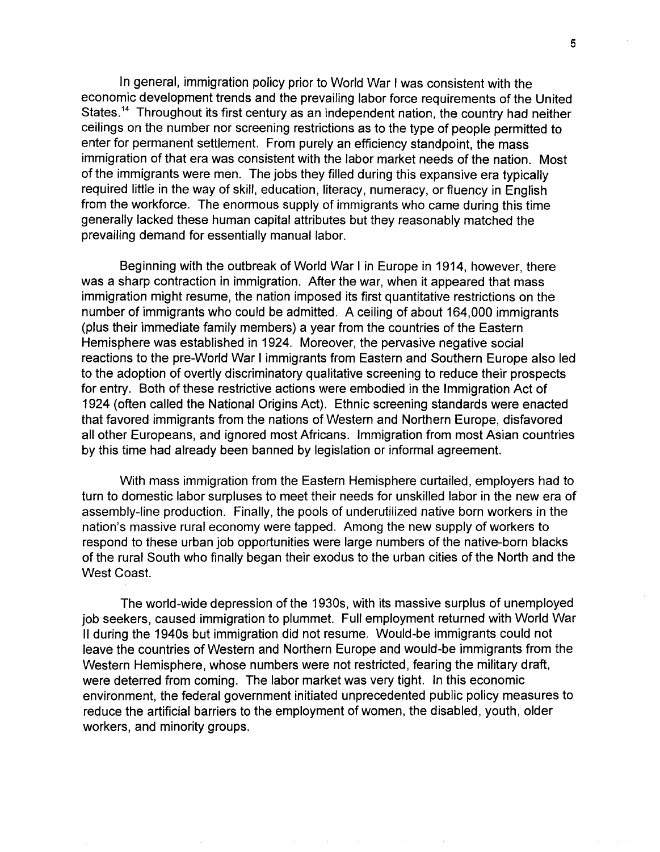In general, immigration policy prior to World War I was consistent with the economic development trends and the prevailing labor force requirements of the United States.<sup>14</sup> Throughout its first century as an independent nation, the country had neither ceilings on the number nor screening restrictions as to the type of people permitted to enter for permanent settlement. From purely an efficiency standpoint, the mass immigration of that era was consistent with the labor market needs of the nation. Most of the immigrants were men. The jobs they filled during this expansive era typically required little in the way of skill, education, literacy, numeracy, or fluency in English from the workforce. The enormous supply of immigrants who came during this time generally lacked these human capital attributes but they reasonably matched the prevailing demand for essentially manual labor.

Beginning with the outbreak of World War I in Europe in 1914, however, there was a sharp contraction in immigration. After the war, when it appeared that mass immigration might resume, the nation imposed its first quantitative restrictions on the number of immigrants who could be admitted. A ceiling of about 164,000 immigrants (plus their immediate family members) a year from the countries of the Eastern Hemisphere was established in 1924. Moreover, the pervasive negative social reactions to the pre-World War I immigrants from Eastern and Southern Europe also led to the adoption of overtly discriminatory qualitative screening to reduce their prospects for entry. Both of these restrictive actions were embodied in the Immigration Act of 1924 (often called the National Origins Act). Ethnic screening standards were enacted that favored immigrants from the nations of Western and Northern Europe, disfavored all other Europeans, and ignored most Africans. Immigration from most Asian countries by this time had already been banned by legislation or informal agreement.

With mass immigration from the Eastern Hemisphere curtailed, employers had to turn to domestic labor surpluses to meet their needs for unskilled labor in the new era of assembly-line production. Finally, the pools of underutilized native born workers in the nation's massive rural economy were tapped. Among the new supply of workers to respond to these urban job opportunities were large numbers of the native-born blacks of the rural South who finally began their exodus to the urban cities of the North and the West Coast.

The world-wide depression of the 1930s, with its massive surplus of unemployed job seekers, caused immigration to plummet. Full employment returned with World War II during the 1940s but immigration did not resume. Would-be immigrants could not leave the countries of Western and Northern Europe and would-be immigrants from the Western Hemisphere, whose numbers were not restricted, fearing the military draft, were deterred from coming. The labor market was very tight. In this economic environment, the federal government initiated unprecedented public policy measures to reduce the artificial barriers to the employment of women, the disabled, youth, older workers, and minority groups.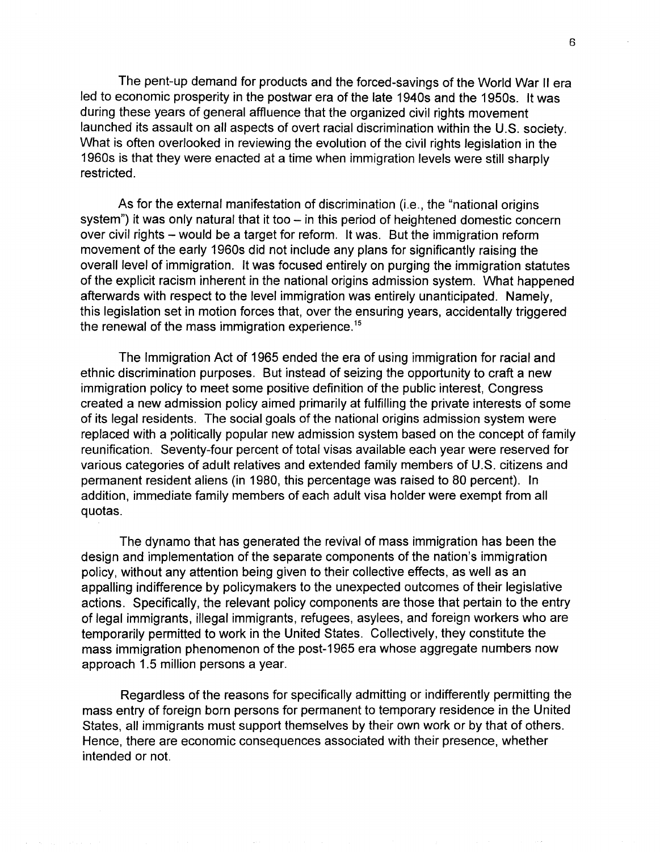The pent-up demand for products and the forced-savings of the World War II era led to economic prosperity in the postwar era of the late 1940s and the 1950s. It was during these years of general affluence that the organized civil rights movement launched its assault on all aspects of overt racial discrimination within the U.S. society. What is often overlooked in reviewing the evolution of the civil rights legislation in the 1960s is that they were enacted at a time when immigration levels were still sharply restricted.

As for the external manifestation of discrimination (i.e., the "national origins system") it was only natural that it too  $-$  in this period of heightened domestic concern over civil rights - would be a target for reform. It was. But the immigration reform movement of the early 1960s did not include any plans for significantly raising the overall level of immigration. It was focused entirely on purging the immigration statutes of the explicit racism inherent in the national origins admission system. What happened afterwards with respect to the level immigration was entirely unanticipated. Namely, this legislation set in motion forces that, over the ensuring years, accidentally triggered the renewal of the mass immigration experience.<sup>15</sup>

The Immigration Act of 1965 ended the era of using immigration for racial and ethnic discrimination purposes. But instead of seizing the opportunity to craft a new immigration policy to meet some positive definition of the public interest, Congress created a new admission policy aimed primarily at fulfilling the private interests of some of its legal residents. The social goals of the national origins admission system were replaced with a politically popular new admission system based on the concept of family reunification. Seventy-four percent of total visas available each year were reserved for various categories of adult relatives and extended family members of U.S. citizens and permanent resident aliens (in 1980, this percentage was raised to 80 percent). In addition, immediate family members of each adult visa holder were exempt from all quotas.

The dynamo that has generated the revival of mass immigration has been the design and implementation of the separate components of the nation's immigration policy, without any attention being given to their collective effects, as well as an appalling indifference by policymakers to the unexpected outcomes of their legislative actions. Specifically, the relevant policy components are those that pertain to the entry of legal immigrants, illegal immigrants, refugees, asylees, and foreign workers who are temporarily permitted to work in the United States. Collectively, they constitute the mass immigration phenomenon of the post-1965 era whose aggregate numbers now approach 1.5 million persons a year.

Regardless of the reasons for specifically admitting or indifferently permitting the mass entry of foreign born persons for permanent to temporary residence in the United States, all immigrants must support themselves by their own work or by that of others. Hence, there are economic consequences associated with their presence, whether intended or not.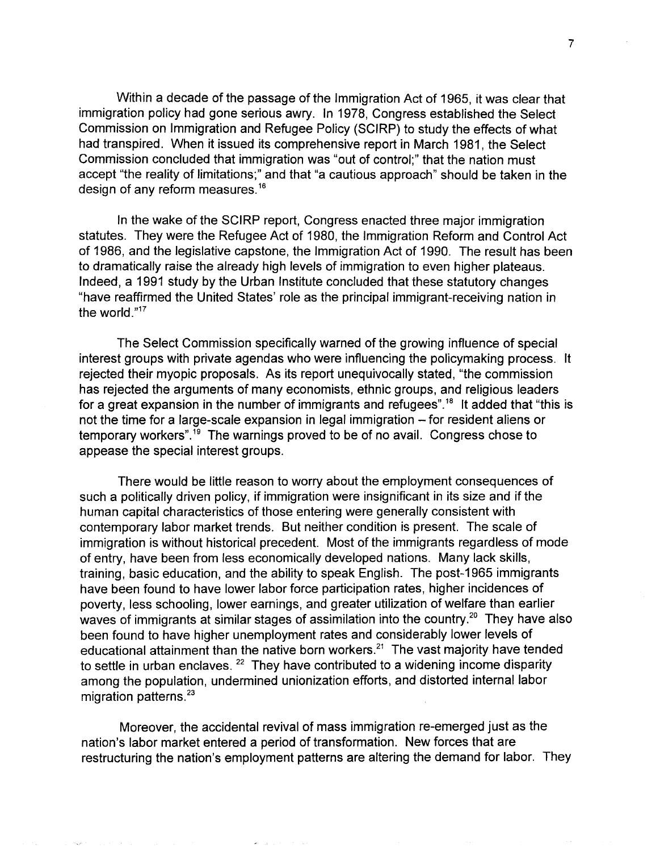Within a decade of the passage of the Immigration Act of 1965, it was clear that immigration policy had gone serious awry. In 1978, Congress established the Select Commission on Immigration and Refugee Policy (SCIRP) to study the effects of what had transpired. When it issued its comprehensive report in March 1981, the Select Commission concluded that immigration was "out of control;" that the nation must accept "the reality of limitations;" and that "a cautious approach" should be taken in the design of any reform measures.16

In the wake of the SCIRP report, Congress enacted three major immigration statutes. They were the Refugee Act of 1980, the Immigration Reform and Control Act of 1986, and the legislative capstone, the Immigration Act of 1990. The result has been to dramatically raise the already high levels of immigration to even higher plateaus. Indeed, a 1991 study by the Urban Institute concluded that these statutory changes "have reaffirmed the United States' role as the principal immigrant-receiving nation in the world."17

The Select Commission specifically warned of the growing influence of special interest groups with private agendas who were influencing the policymaking process. It rejected their myopic proposals. As its report unequivocally stated, "the commission has rejected the arguments of many economists, ethnic groups, and religious leaders for a great expansion in the number of immigrants and refugees".<sup>18</sup> It added that "this is not the time for a large-scale expansion in legal immigration – for resident aliens or temporary workers".19 The warnings proved to be of no avail. Congress chose to appease the special interest groups.

There would be little reason to worry about the employment consequences of such a politically driven policy, if immigration were insignificant in its size and if the human capital characteristics of those entering were generally consistent with contemporary labor market trends. But neither condition is present. The scale of immigration is without historical precedent. Most of the immigrants regardless of mode of entry, have been from less economically developed nations. Many lack skills, training, basic education, and the ability to speak English. The post-1965 immigrants have been found to have lower labor force participation rates, higher incidences of poverty, less schooling, lower earnings, and greater utilization of welfare than earlier waves of immigrants at similar stages of assimilation into the country.<sup>20</sup> They have also been found to have higher unemployment rates and considerably lower levels of educational attainment than the native born workers.<sup>21</sup> The vast majority have tended to settle in urban enclaves.  $22$  They have contributed to a widening income disparity among the population, undermined unionization efforts, and distorted internal labor migration patterns. $23$ 

Moreover, the accidental revival of mass immigration re-emerged just as the nation's labor market entered a period of transformation. New forces that are restructuring the nation's employment patterns are altering the demand for labor. They

 $\omega = \omega_{\rm{max}}$  ,  $\omega$ 

7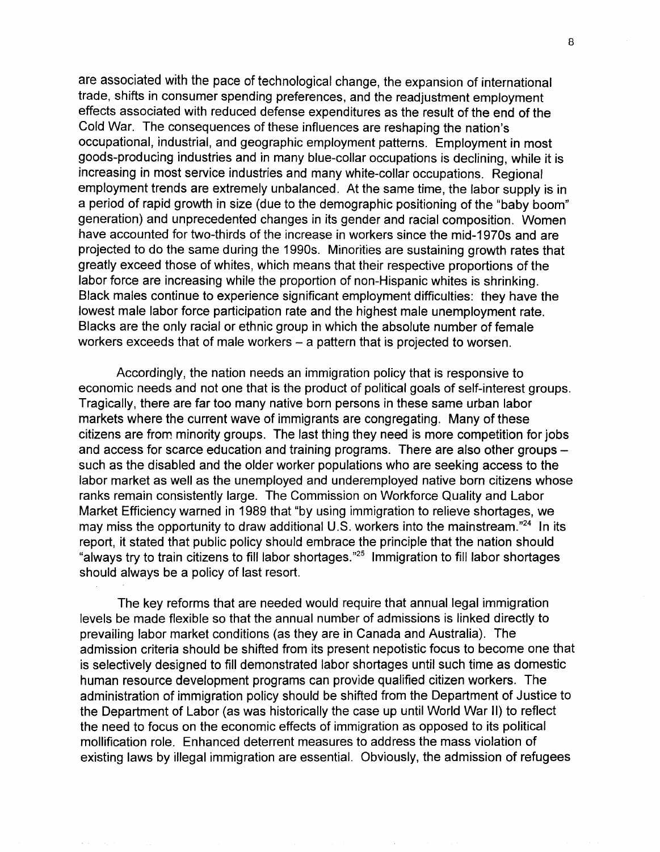are associated with the pace of technological change, the expansion of international trade, shifts in consumer spending preferences, and the readjustment employment effects associated with reduced defense expenditures as the result of the end of the Cold War. The consequences of these influences are reshaping the nation's occupational, industrial, and geographic employment patterns. Employment in most goods-producing industries and in many blue-collar occupations is declining, while it is increasing in most service industries and many white-collar occupations. Regional employment trends are extremely unbalanced. At the same time, the labor supply is in a period of rapid growth in size (due to the demographic positioning of the "baby boom" generation) and unprecedented changes in its gender and racial composition. Women have accounted for two-thirds of the increase in workers since the mid-1970s and are projected to do the same during the 1990s. Minorities are sustaining growth rates that greatly exceed those of whites, which means that their respective proportions of the labor force are increasing while the proportion of non-Hispanic whites is shrinking. Black males continue to experience significant employment difficulties: they have the lowest male labor force participation rate and the highest male unemployment rate. Blacks are the only racial or ethnic group in which the absolute number of female workers exceeds that of male workers - a pattern that is projected to worsen.

Accordingly, the nation needs an immigration policy that is responsive to economic needs and not one that is the product of political goals of self-interest groups. Tragically, there are far too many native born persons in these same urban labor markets where the current wave of immigrants are congregating. Many of these citizens are from minority groups. The last thing they need is more competition for jobs and access for scarce education and training programs. There are also other groups such as the disabled and the older worker populations who are seeking access to the labor market as well as the unemployed and underemployed native born citizens whose ranks remain consistently large. The Commission on Workforce Quality and Labor Market Efficiency warned in 1989 that "by using immigration to relieve shortages, we may miss the opportunity to draw additional U.S. workers into the mainstream.<sup>"24</sup> In its report, it stated that public policy should embrace the principle that the nation should "always try to train citizens to fill labor shortages."25 Immigration to fill labor shortages should always be a policy of last resort.

The key reforms that are needed would require that annual legal immigration levels be made flexible so that the annual number of admissions is linked directly to prevailing labor market conditions (as they are in Canada and Australia). The admission criteria should be shifted from its present nepotistic focus to become one that is selectively designed to fill demonstrated labor shortages until such time as domestic human resource development programs can provide qualified citizen workers. The administration of immigration policy should be shifted from the Department of Justice to the Department of Labor (as was historically the case up until World War II) to reflect the need to focus on the economic effects of immigration as opposed to its political mollification role. Enhanced deterrent measures to address the mass violation of existing laws by illegal immigration are essential. Obviously, the admission of refugees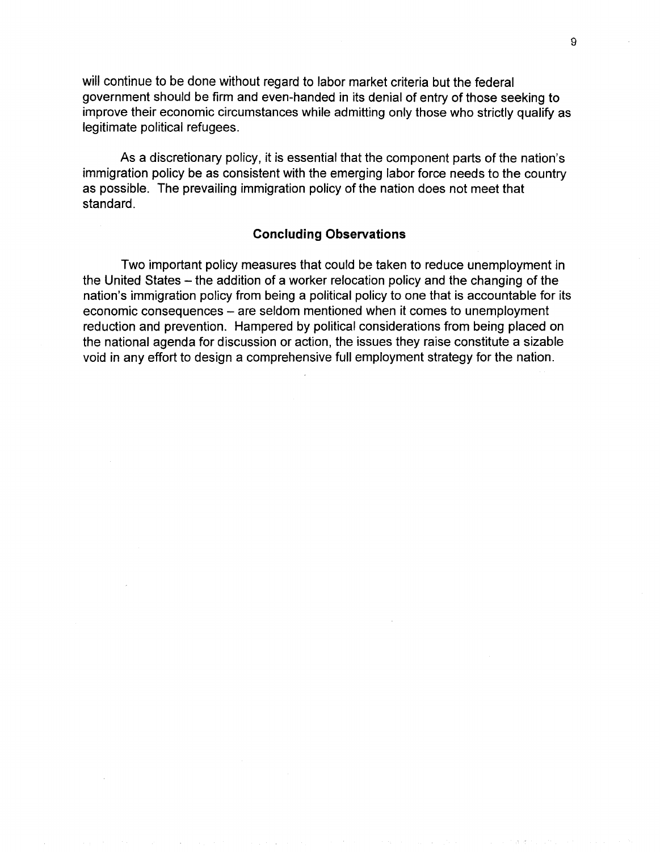will continue to be done without regard to labor market criteria but the federal government should be firm and even-handed in its denial of entry of those seeking to improve their economic circumstances while admitting only those who strictly qualify as legitimate political refugees.

As a discretionary policy, it is essential that the component parts of the nation's immigration policy be as consistent with the emerging labor force needs to the country as possible. The prevailing immigration policy of the nation does not meet that standard.

#### **Concluding Observations**

Two important policy measures that could be taken to reduce unemployment in the United States – the addition of a worker relocation policy and the changing of the nation's immigration policy from being a political policy to one that is accountable for its economic consequences - are seldom mentioned when it comes to unemployment reduction and prevention. Hampered by political considerations from being placed on the national agenda for discussion or action, the issues they raise constitute a sizable void in any effort to design a comprehensive full employment strategy for the nation.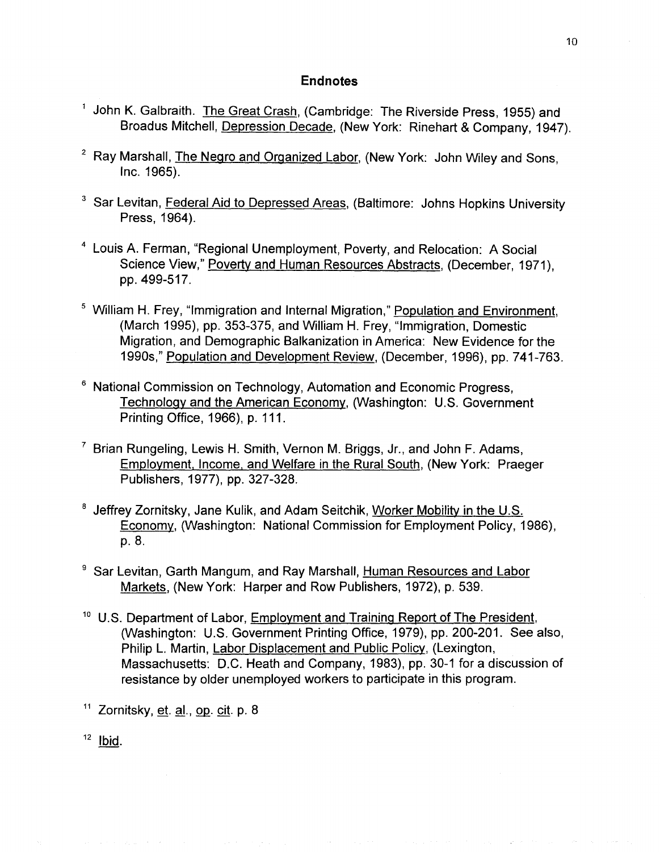### **Endnotes**

- <sup>1</sup> John K. Galbraith. The Great Crash, (Cambridge: The Riverside Press, 1955) and Broadus Mitchell, Depression Decade, (New York: Rinehart & Company, 1947).
- <sup>2</sup> Ray Marshall, The Negro and Organized Labor, (New York: John Wiley and Sons, Inc. 1965).
- <sup>3</sup> Sar Levitan, Federal Aid to Depressed Areas, (Baltimore: Johns Hopkins University Press, 1964).
- <sup>4</sup> Louis A. Ferman, "Regional Unemployment, Poverty, and Relocation: A Social Science View," Poverty and Human Resources Abstracts, (December, 1971), pp.499-517.
- <sup>5</sup> William H. Frey, "Immigration and Internal Migration," Population and Environment, (March 1995), pp. 353-375, and William H. Frey, "Immigration, Domestic Migration, and Demographic Balkanization in America: New Evidence for the 1990s," Population and Development Review, (December, 1996), pp. 741-763.
- <sup>6</sup> National Commission on Technology, Automation and Economic Progress, Technology and the American Economy, (Washington: U.S. Government Printing Office, 1966), p. 111.
- <sup>7</sup> Brian Rungeling, Lewis H. Smith, Vernon M. Briggs, Jr., and John F. Adams, Employment, Income. and Welfare in the Rural South, (New York: Praeger Publishers, 1977), pp. 327-328.
- 8 Jeffrey Zornitsky, Jane Kulik, and Adam Seitchik, Worker Mobility in the U.S. Economy, (Washington: National Commission for Employment Policy, 1986), p.8.
- <sup>9</sup> Sar Levitan, Garth Mangum, and Ray Marshall, Human Resources and Labor Markets, (New York: Harper and Row Publishers, 1972), p. 539.
- <sup>10</sup> U.S. Department of Labor, Employment and Training Report of The President, (Washington: U.S. Government Printing Office, 1979), pp. 200-201. See also, Philip L. Martin, Labor Displacement and Public Policy, (Lexington, Massachusetts: D.C. Heath and Company, 1983), pp. 30-1 for a discussion of resistance by older unemployed workers to participate in this program.

 $11$  Zornitsky, et. al., op. cit. p. 8

 $12$  Ibid.